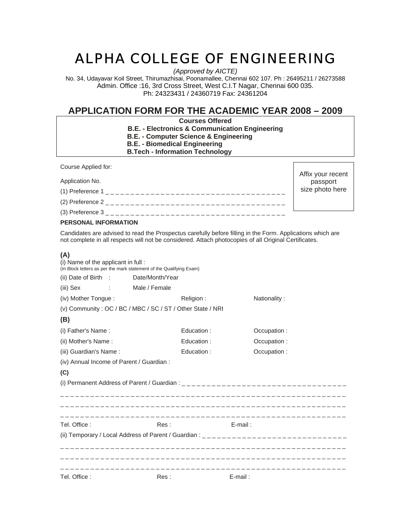# ALPHA COLLEGE OF ENGINEERING

*(Approved by AICTE)* 

No. 34, Udayavar Koil Street, Thirumazhisai, Poonamallee, Chennai 602 107. Ph : 26495211 / 26273588 Admin. Office :16, 3rd Cross Street, West C.I.T Nagar, Chennai 600 035. Ph: 24323431 / 24360719 Fax: 24361204

# **APPLICATION FORM FOR THE ACADEMIC YEAR 2008 – 2009**

Affix your recent passport size photo here

**Courses Offered** 

- **B.E. Electronics & Communication Engineering**
- **B.E. Computer Science & Engineering**
- **B.E. Biomedical Engineering**
- **B.Tech Information Technology**

Course Applied for:

Application No.

(1) Preference 1 \_ \_ \_ \_ \_ \_ \_ \_ \_ \_ \_ \_ \_ \_ \_ \_ \_ \_ \_ \_ \_ \_ \_ \_ \_ \_ \_ \_ \_ \_ \_ \_ \_ \_ \_ \_

(2) Preference 2 \_ \_ \_ \_ \_ \_ \_ \_ \_ \_ \_ \_ \_ \_ \_ \_ \_ \_ \_ \_ \_ \_ \_ \_ \_ \_ \_ \_ \_ \_ \_ \_ \_ \_ \_ \_

(3) Preference 3 \_ \_ \_ \_ \_ \_ \_ \_ \_ \_ \_ \_ \_ \_ \_ \_ \_ \_ \_ \_ \_ \_ \_ \_ \_ \_ \_ \_ \_ \_ \_ \_ \_ \_ \_ \_

## **PERSONAL INFORMATION**

Candidates are advised to read the Prospectus carefully before filling in the Form. Applications which are not complete in all respects will not be considered. Attach photocopies of all Original Certificates.

# **(A)**

| (i) Name of the applicant in full:        |  | (In Block letters as per the mark statement of the Qualifying Exam) |            |             |              |
|-------------------------------------------|--|---------------------------------------------------------------------|------------|-------------|--------------|
| (ii) Date of Birth :                      |  | Date/Month/Year                                                     |            |             |              |
| (iii) Sex                                 |  | : Male / Female                                                     |            |             |              |
| (iv) Mother Tongue:                       |  |                                                                     | Religion:  |             | Nationality: |
|                                           |  | (v) Community: OC / BC / MBC / SC / ST / Other State / NRI          |            |             |              |
| (B)                                       |  |                                                                     |            |             |              |
| (i) Father's Name:                        |  |                                                                     | Education: |             | Occupation:  |
| (ii) Mother's Name:                       |  |                                                                     | Education: |             | Occupation:  |
| (iii) Guardian's Name:                    |  | Education:                                                          |            | Occupation: |              |
| (iv) Annual Income of Parent / Guardian : |  |                                                                     |            |             |              |
| (C)                                       |  |                                                                     |            |             |              |
|                                           |  |                                                                     |            |             |              |
|                                           |  |                                                                     |            |             |              |
| Tel. Office:                              |  | Res:                                                                |            | $E$ -mail:  |              |
|                                           |  |                                                                     |            |             |              |
|                                           |  |                                                                     |            |             |              |
|                                           |  |                                                                     |            |             |              |
|                                           |  |                                                                     |            |             |              |
| Tel. Office:                              |  | Res:                                                                |            | $E$ -mail:  |              |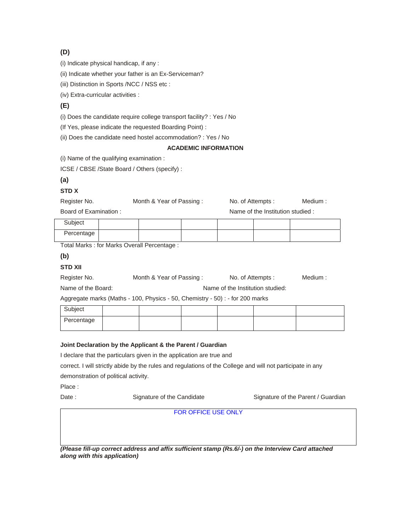# **(D)**

(i) Indicate physical handicap, if any :

(ii) Indicate whether your father is an Ex-Serviceman?

(iii) Distinction in Sports /NCC / NSS etc :

(iv) Extra-curricular activities :

# **(E)**

(i) Does the candidate require college transport facility? : Yes / No

(If Yes, please indicate the requested Boarding Point) :

(ii) Does the candidate need hostel accommodation? : Yes / No

#### **ACADEMIC INFORMATION**

(i) Name of the qualifying examination :

ICSE / CBSE /State Board / Others (specify) :

## **(a)**

#### **STD X**

Register No. **Month & Year of Passing :** No. of Attempts : Medium :

Board of Examination : Name of the Institution studied :

| Subject    |  |  |  |
|------------|--|--|--|
| Percentage |  |  |  |

Total Marks : for Marks Overall Percentage :

## **(b)**

# **STD XII**

| Register No. | Month & Year of Passing: | No. of Attempts: | Medium : |
|--------------|--------------------------|------------------|----------|
|              |                          |                  |          |

Name of the Board: Name of the Institution studied:

Aggregate marks (Maths - 100, Physics - 50, Chemistry - 50) : - for 200 marks

| Subject    |  |  |  |
|------------|--|--|--|
| Percentage |  |  |  |

#### **Joint Declaration by the Applicant & the Parent / Guardian**

I declare that the particulars given in the application are true and

correct. I will strictly abide by the rules and regulations of the College and will not participate in any

demonstration of political activity.

Place :

Date : Signature of the Candidate Signature of the Parent / Guardian

FOR OFFICE USE ONLY

*(Please fill-up correct address and affix sufficient stamp (Rs.6/-) on the Interview Card attached along with this application)*